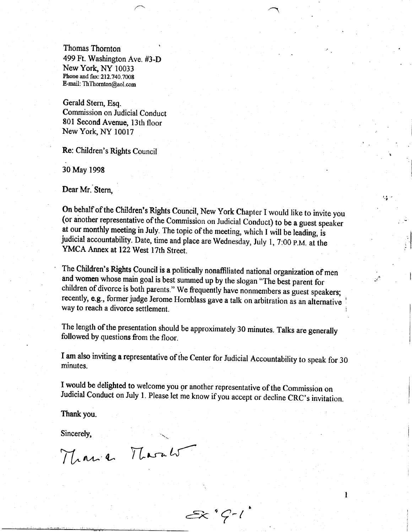Thomas Thornton 499 Ft. Washington Ave. #3-D New York, NY 10033 Phone and fax: 212.740.7008 E-mail; ThThornton@ol.com

Gerald Stern, Esq. Commission on Judicial Conduct 801 Second Avenue, 13th floor New York, NY 10017

Re: Children's Rights Council

30 May 1998

Dear Mr. Stern.

On behalf of the Children's Rights Council, New York Chapter I would like to invite you (or another representative of the Commission on Judicial Conduct) to be a guest speaker at our monthly meeting in July. The topic of t judicial accountability. Date, time and place are Wednesday, July 1, 7:00 p.m. at the YMCA Annex at 122 West 17th Street.

- t

 $\mathbf{I}$ 

The Children's Rights Council is a politically nonaffiliated national organization of men and women whose main goal is best summed up by the slogan "The best parent for children of divorce is both parents." We frequently have nonmembers as guest speakers; recently, e.g., former judge Jerome Hornblass gave a talk on arbitration as an alternative way to reach a divorce settlement.

The length of the presentation should be approximately 30 minutes. Talks are generally followed by questions from the floor.

I am also inviting a representative of the Center for Judicial Accountability to speak for 30 minutes.

I would be delighted to welcome you gr another representative of the Commission on Judicial Conduct on July 1. Please let me know if you accept or decline CRC's invitation.

 $2x$   $9 - 1$ 

Thank you.

Sincerely,

Manie Marals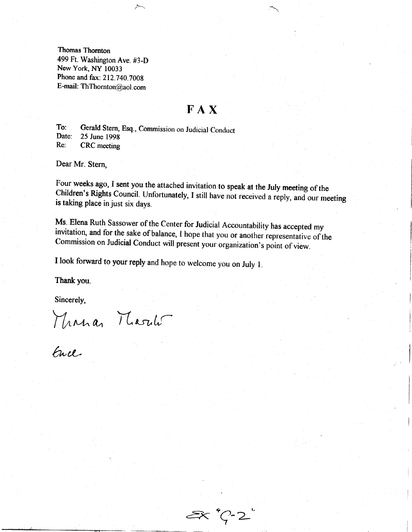Thomas Thomton 499 Ft. Washington Ave. #3-D New York, NY 10033 Phone and fax: 212.740.7008 E-mail: ThThornton@aol.com

## **FAX**

To: Gerald Stern, Esq., Commission on Judicial Conduct<br>Date: 25 June 1998 Date: 25 June 1998<br>Re: CRC meeting CRC meeting

 $\sim$ 

Dear Mr. Stern,

Four weeks ago, I sent you the attached invitation to speak at the July meeting of the Children's Rights Council. Unfortunately, I still have not received a reply, and our meeting is taking place in just six days.

Ms. Elena Ruth Sassower of the Center for Judicial Accountability has accepted my invitation, and for the sake of balance, I hope that you or another representative of the Commission on Judicial Conduct will present your o

I look forward to your reply and hope to welcome you on July 1.

Thank you.

Sincerely,

Minna Marild

 $\ell$ h Cl

 $\mathscr{F}'$ .  $\sim$  2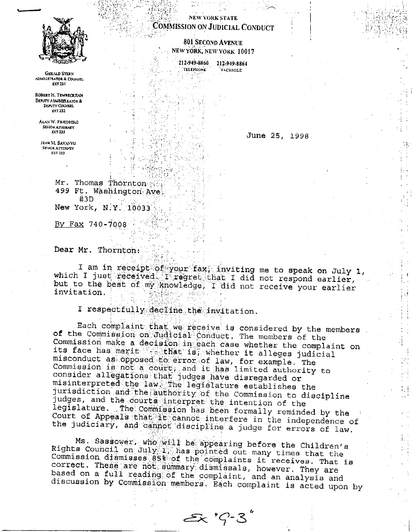

**GERALD STERN** ADMINISTRATOR & COUNSEL **EXT 231** 

ROBERT H. TEMBECKHAN DEPUTY ADMINISTRATOR & **DEPUTY COUNSEL EXT 232** 

ALAN W. FRIEDDERG SENIOR ATTORNEY EXT 235

JEAN M. SAVANYU **SEVIOR ATTORNEY** EXT 233

NEW YORK STATE **COMMISSION ON JUDICIAL CONDUCT** 

> 801 SECOND AVENUE NEW YORK, NEW YORK 10017

212-949-8860 TELEVIIONE Ŧ

212-949-8864 **FACSIMILE** 

June 25, 1998

Mr. Thomas Thornton 499 Ft. Washington Ave  $#3D$ New York, N.Y. 10033

<u>By Fax</u>  $740 - 7008$ 

Dear Mr. Thornton:

I am in receipt of your fax, inviting me to speak on July 1, which I just received. I regret that I did not respond earlier, but to the best of my knowledge, I did not receive your earlier invitation.

I respectfully decline the invitation.

Each complaint that we receive is considered by the members of the Commission on Judicial Conduct. The members of the Commission make a decision in each case whether the complaint on its face has merit that is, whether it alleges judicial misconduct as opposed fo error of law, for example. The Commission is not a court, and it has limited authority to consider allegations that judges have disregarded or misinterpreted the law ine legislature establishes the jurisdiction and the authority of the Commission to discipline judges, and the courts interpret the intention of the legislature. The Commission has been formally reminded by the Court of Appeals that it cannot interfere in the independence of the judiciary, and cannot discipline a judge for errors of law.

Ms. Sassower, who will be appearing before the Children's Rights Council on July 1, has pointed out many times that the Commission diamisses 85% of the complaints it receives. That is correct. These are not summary dismissals, however. They are based on a full reading of the complaint, and an analysis and discussion by Commission members. Each complaint is acted upon by

 $Ex$   $7 - 3$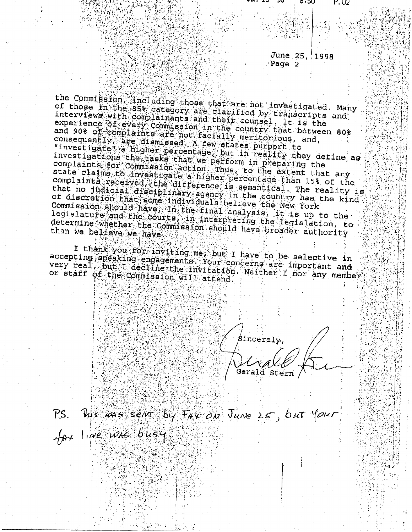## June 25, 1998 Page 2

っ・つり

۲.U2

the Commission including those that are not investigated. Many of those in the 85% category are clarified by transcripts and interviews with complainants and their counsel. It is the experience of every Commission in the country that between 80% and 90% of complaints are not facially meritorious, and, consequently, are diamissed. A few states purport to "investigate a higher percentage but in reality they define as investigations the tasks that we perform in preparing the complaints for Commission action. Thus, to the extent that any state claims to investigate a higher percentage than 15% of the complaints received the difference is semantical. The reality is that no judicial disciplinary agency in the country has the kind of discretion that some individuals believe the New York Commission ahould have In the final analysis, it is up to the legislature and the courts, in interpreting the legislation, to determine whether the commission should have broader authority than we believe we have

I thank you for inviting me, but I have to be selective in accepting apeaking engagements. Your concerns are important and very real put I decline the invitation. Neither I nor any members or staff of the Commission will attend.

Sincerely, Gerald Stern

P.S. Wis was sent by FAX ON JUNE 25, but your

 $A_{\theta\theta}$  line was busy